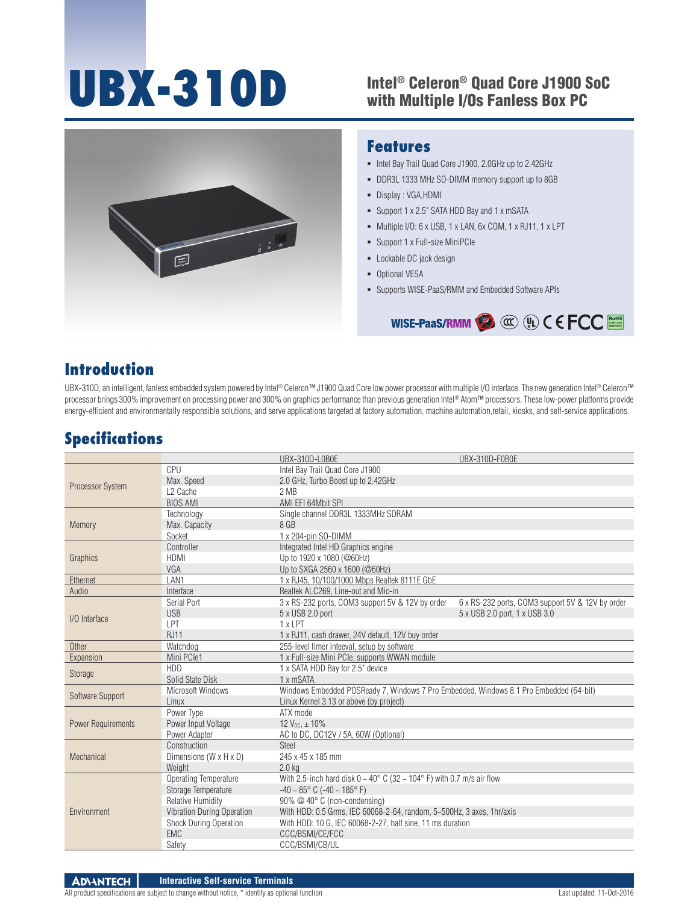# UBX-310D Intel® Celeron® Quad Core J1900 SoC

## with Multiple I/Os Fanless Box PC



#### **Features**

- $\blacksquare$  Intel Bay Trail Quad Core J1900, 2.0GHz up to 2.42GHz
- DDR3L 1333 MHz SO-DIMM memory support up to 8GB
- Display : VGA,HDMI
- Support 1 x 2.5" SATA HDD Bay and 1 x mSATA
- Multiple I/O: 6 x USB, 1 x LAN, 6x COM, 1 x RJ11, 1 x LPT
- Support 1 x Full-size MiniPCIe
- **-** Lockable DC jack design
- **-** Optional VESA
- Supports WISE-PaaS/RMM and Embedded Software APIs



#### **Introduction**

UBX-310D, an intelligent, fanless embedded system powered by Intel® Celeron™ J1900 Quad Core low power processor with multiple I/O interface. The new generation Intel® Celeron™ processor brings 300% improvement on processing power and 300% on graphics performance than previous generation Intel® Atom™ processors. These low-power platforms provide energy-efficient and environmentally responsible solutions, and serve applications targeted at factory automation, machine automation,retail, kiosks, and self-service applications.

#### **Specifications**

|                           |                            | UBX-310D-L0B0E                                                                         | UBX-310D-F0B0E                                   |  |
|---------------------------|----------------------------|----------------------------------------------------------------------------------------|--------------------------------------------------|--|
| Processor System          | CPU                        | Intel Bay Trail Quad Core J1900                                                        |                                                  |  |
|                           | Max. Speed                 | 2.0 GHz, Turbo Boost up to 2.42GHz                                                     |                                                  |  |
|                           | L <sub>2</sub> Cache       | 2 MB                                                                                   |                                                  |  |
|                           | <b>BIOS AMI</b>            | AMI EFI 64Mbit SPI                                                                     |                                                  |  |
| Memory                    | Technology                 | Single channel DDR3L 1333MHz SDRAM                                                     |                                                  |  |
|                           | Max. Capacity              | 8 GB                                                                                   |                                                  |  |
|                           | Socket                     | 1 x 204-pin SO-DIMM                                                                    |                                                  |  |
| Graphics                  | Controller                 | Integrated Intel HD Graphics engine                                                    |                                                  |  |
|                           | <b>HDMI</b>                | Up to 1920 x 1080 (@60Hz)                                                              |                                                  |  |
|                           | VGA                        | Up to SXGA 2560 x 1600 (@60Hz)                                                         |                                                  |  |
| Ethernet                  | LAN1                       | 1 x RJ45, 10/100/1000 Mbps Realtek 8111E GbE                                           |                                                  |  |
| Audio                     | Interface                  | Realtek ALC269, Line-out and Mic-in                                                    |                                                  |  |
| I/O Interface             | Serial Port                | 3 x RS-232 ports, COM3 support 5V & 12V by order                                       | 6 x RS-232 ports, COM3 support 5V & 12V by order |  |
|                           | <b>USB</b>                 | 5 x USB 2.0 port                                                                       | 5 x USB 2.0 port, 1 x USB 3.0                    |  |
|                           | LPT                        | 1 x LPT                                                                                |                                                  |  |
|                           | <b>RJ11</b>                | 1 x RJ11, cash drawer, 24V default, 12V buy order                                      |                                                  |  |
| Other                     | Watchdog                   | 255-level timer inteeval, setup by software                                            |                                                  |  |
| Expansion                 | Mini PCle1                 | 1 x Full-size Mini PCIe, supports WWAN module                                          |                                                  |  |
| Storage                   | <b>HDD</b>                 | 1 x SATA HDD Bay for 2.5" device                                                       |                                                  |  |
|                           | Solid State Disk           | 1 x mSATA                                                                              |                                                  |  |
| Software Support          | Microsoft Windows          | Windows Embedded POSReady 7, Windows 7 Pro Embedded, Windows 8.1 Pro Embedded (64-bit) |                                                  |  |
|                           | Linux                      | Linux Kernel 3.13 or above (by project)                                                |                                                  |  |
| <b>Power Requirements</b> | Power Type                 | ATX mode                                                                               |                                                  |  |
|                           | Power Input Voltage        | $12 V_{DC}$ , $\pm 10\%$                                                               |                                                  |  |
|                           | Power Adapter              | AC to DC, DC12V / 5A, 60W (Optional)                                                   |                                                  |  |
| Mechanical                | Construction               | Steel                                                                                  |                                                  |  |
|                           | Dimensions (W x H x D)     | 245 x 45 x 185 mm                                                                      |                                                  |  |
|                           | Weight                     | 2.0 <sub>k</sub>                                                                       |                                                  |  |
| Environment               | Operating Temperature      | With 2.5-inch hard disk $0 \sim 40^{\circ}$ C (32 $\sim$ 104° F) with 0.7 m/s air flow |                                                  |  |
|                           | Storage Temperature        | $-40 \sim 85^{\circ}$ C ( $-40 \sim 185^{\circ}$ F)                                    |                                                  |  |
|                           | <b>Relative Humidity</b>   | 90% @ 40° C (non-condensing)                                                           |                                                  |  |
|                           | Vibration During Operation | With HDD: 0.5 Grms, IEC 60068-2-64, random, 5~500Hz, 3 axes, 1hr/axis                  |                                                  |  |
|                           | Shock During Operation     | With HDD: 10 G, IEC 60068-2-27, half sine, 11 ms duration                              |                                                  |  |
|                           | <b>EMC</b>                 | CCC/BSMI/CE/FCC                                                                        |                                                  |  |
|                           | Safety                     | CCC/BSMI/CB/UL                                                                         |                                                  |  |

**ADVANTECH Interactive Self-service Terminals** All product specifications are subject to change without notice, \* identify as optional function Last updated: 11-Oct-2016